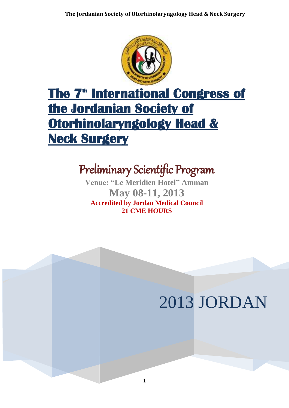

# **The 7<sup>th</sup> International Congress of the Jordanian Society of Otorhinolaryngology Head & Neck Surgery**

## Preliminary Scientific Program

**Venue: "Le Meridien Hotel" Amman May 08-11, 2013 Accredited by Jordan Medical Council 21 CME HOURS**

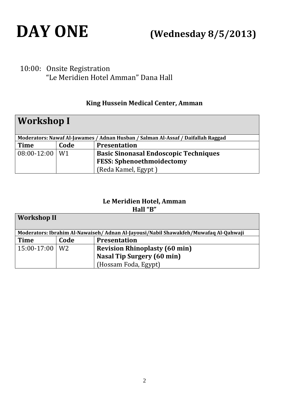

# **DAY ONE (Wednesday 8/5/2013)**

### 10:00: Onsite Registration "Le Meridien Hotel Amman" Dana Hall

#### **King Hussein Medical Center, Amman**

| <b>Workshop I</b>                                                                |      |                                              |  |  |
|----------------------------------------------------------------------------------|------|----------------------------------------------|--|--|
| Moderators: Nawaf Al-Jawames / Adnan Husban / Salman Al-Assaf / Daifallah Raggad |      |                                              |  |  |
| <b>Time</b>                                                                      | Code | <b>Presentation</b>                          |  |  |
| $08:00-12:00$   W1                                                               |      | <b>Basic Sinonasal Endoscopic Techniques</b> |  |  |
|                                                                                  |      | <b>FESS: Sphenoethmoidectomy</b>             |  |  |
|                                                                                  |      | (Reda Kamel, Egypt)                          |  |  |

#### **Le Meridien Hotel, Amman Hall "B"**

| <b>Workshop II</b>                                                                   |      |                                      |  |  |
|--------------------------------------------------------------------------------------|------|--------------------------------------|--|--|
| Moderators: Ibrahim Al-Nawaiseh/ Adnan Al-Jayousi/Nabil Shawakfeh/Muwafaq Al-Qahwaji |      |                                      |  |  |
| <b>Time</b>                                                                          | Code | <b>Presentation</b>                  |  |  |
| $15:00-17:00$   W2                                                                   |      | <b>Revision Rhinoplasty (60 min)</b> |  |  |
|                                                                                      |      | <b>Nasal Tip Surgery (60 min)</b>    |  |  |
|                                                                                      |      | (Hossam Foda, Egypt)                 |  |  |